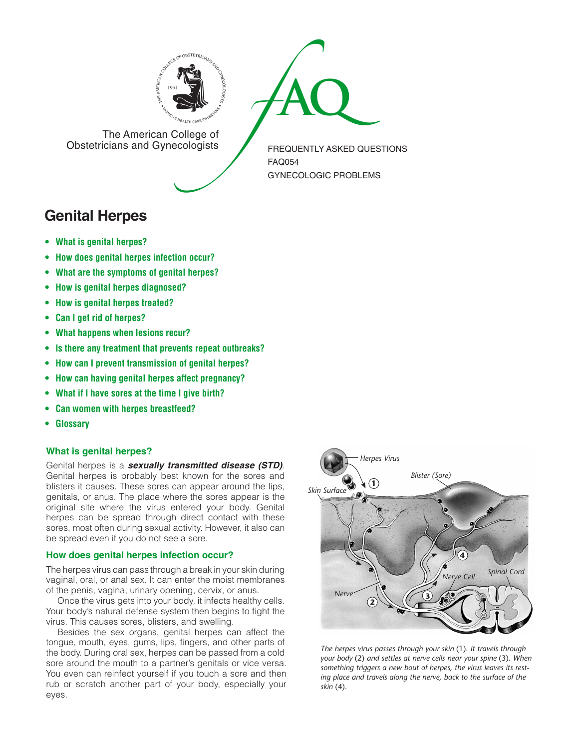



The American College of<br>Obstetricians and Gynecologists

FREQUENTLY ASKED QUESTIONS FAQ054 GYNECOLOGIC PROBLEMS

# **Genital Herpes**

- **• What is genital [herpes?](#page-0-0)**
- **• How does genital herpes [infection](#page-0-1) occur?**
- **• What are the [symptoms](#page-1-0) of genital herpes?**
- **• How is genital herpes [diagnosed?](#page-1-1)**
- **• How is genital herpes [treated?](#page-1-2)**
- **• Can I get rid of [herpes?](#page-1-3)**
- **• What [happens](#page-1-4) when lesions recur?**
- **• Is there any treatment that prevents repeat [outbreaks?](#page-1-5)**
- **• How can I prevent [transmission](#page-1-6) of genital herpes?**
- **• How can having genital herpes affect [pregnancy?](#page-1-7)**
- **• What if I have sores at the time I give [birth?](#page-1-8)**
- **• Can women with herpes [breastfeed?](#page-1-9)**
- **•  [Glossary](#page-2-0)**

# <span id="page-0-0"></span>**What is genital herpes?**

Genital herpes is a *sexually transmitted disease (STD)*. Genital herpes is probably best known for the sores and blisters it causes. These sores can appear around the lips, genitals, or anus. The place where the sores appear is the original site where the virus entered your body. Genital herpes can be spread through direct contact with these sores, most often during sexual activity. However, it also can be spread even if you do not see a sore.

# <span id="page-0-1"></span>**How does genital herpes infection occur?**

The herpes virus can pass through a break in your skin during vaginal, oral, or anal sex. It can enter the moist membranes of the penis, vagina, urinary opening, cervix, or anus.

Once the virus gets into your body, it infects healthy cells. Your body's natural defense system then begins to fight the virus. This causes sores, blisters, and swelling.

Besides the sex organs, genital herpes can affect the tongue, mouth, eyes, gums, lips, fingers, and other parts of the body. During oral sex, herpes can be passed from a cold sore around the mouth to a partner's genitals or vice versa. You even can reinfect yourself if you touch a sore and then rub or scratch another part of your body, especially your eyes.



*The herpes virus passes through your skin* (1)*. It travels through your body* (2) *and settles at nerve cells near your spine* (3)*. When something triggers a new bout of herpes, the virus leaves its resting place and travels along the nerve, back to the surface of the skin* (4)*.*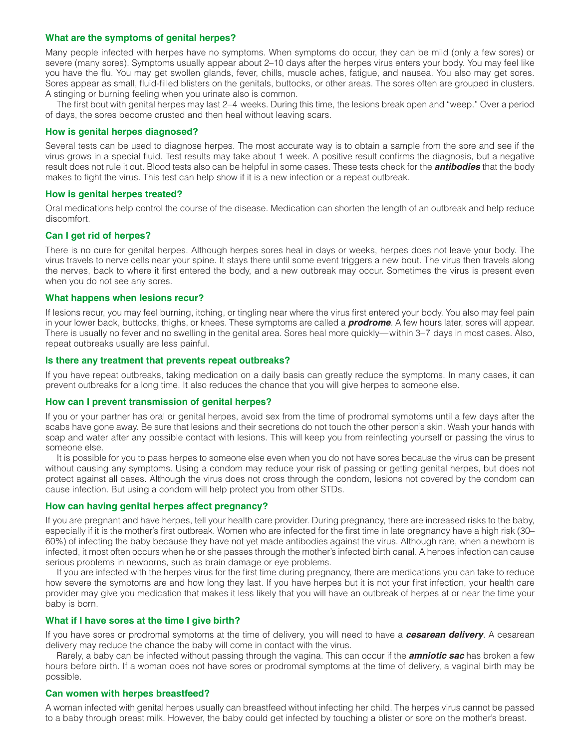## <span id="page-1-0"></span>**What are the symptoms of genital herpes?**

Many people infected with herpes have no symptoms. When symptoms do occur, they can be mild (only a few sores) or severe (many sores). Symptoms usually appear about 2–10 days after the herpes virus enters your body. You may feel like you have the flu. You may get swollen glands, fever, chills, muscle aches, fatigue, and nausea. You also may get sores. Sores appear as small, fluid-filled blisters on the genitals, buttocks, or other areas. The sores often are grouped in clusters. A stinging or burning feeling when you urinate also is common.

The first bout with genital herpes may last 2–4 weeks. During this time, the lesions break open and "weep." Over a period of days, the sores become crusted and then heal without leaving scars.

#### <span id="page-1-1"></span>**How is genital herpes diagnosed?**

Several tests can be used to diagnose herpes. The most accurate way is to obtain a sample from the sore and see if the virus grows in a special fluid. Test results may take about 1 week. A positive result confirms the diagnosis, but a negative result does not rule it out. Blood tests also can be helpful in some cases. These tests check for the *antibodies* that the body makes to fight the virus. This test can help show if it is a new infection or a repeat outbreak.

## <span id="page-1-2"></span>**How is genital herpes treated?**

Oral medications help control the course of the disease. Medication can shorten the length of an outbreak and help reduce discomfort.

## <span id="page-1-3"></span>**Can I get rid of herpes?**

There is no cure for genital herpes. Although herpes sores heal in days or weeks, herpes does not leave your body. The virus travels to nerve cells near your spine. It stays there until some event triggers a new bout. The virus then travels along the nerves, back to where it first entered the body, and a new outbreak may occur. Sometimes the virus is present even when you do not see any sores.

#### <span id="page-1-4"></span>**What happens when lesions recur?**

If lesions recur, you may feel burning, itching, or tingling near where the virus first entered your body. You also may feel pain in your lower back, buttocks, thighs, or knees. These symptoms are called a *prodrome*. A few hours later, sores will appear. There is usually no fever and no swelling in the genital area. Sores heal more quickly—within 3–7 days in most cases. Also, repeat outbreaks usually are less painful.

#### <span id="page-1-5"></span>**Is there any treatment that prevents repeat outbreaks?**

If you have repeat outbreaks, taking medication on a daily basis can greatly reduce the symptoms. In many cases, it can prevent outbreaks for a long time. It also reduces the chance that you will give herpes to someone else.

#### <span id="page-1-6"></span>**How can I prevent transmission of genital herpes?**

If you or your partner has oral or genital herpes, avoid sex from the time of prodromal symptoms until a few days after the scabs have gone away. Be sure that lesions and their secretions do not touch the other person's skin. Wash your hands with soap and water after any possible contact with lesions. This will keep you from reinfecting yourself or passing the virus to someone else.

It is possible for you to pass herpes to someone else even when you do not have sores because the virus can be present without causing any symptoms. Using a condom may reduce your risk of passing or getting genital herpes, but does not protect against all cases. Although the virus does not cross through the condom, lesions not covered by the condom can cause infection. But using a condom will help protect you from other STDs.

#### <span id="page-1-7"></span>**How can having genital herpes affect pregnancy?**

If you are pregnant and have herpes, tell your health care provider. During pregnancy, there are increased risks to the baby, especially if it is the mother's first outbreak. Women who are infected for the first time in late pregnancy have a high risk (30– 60%) of infecting the baby because they have not yet made antibodies against the virus. Although rare, when a newborn is infected, it most often occurs when he or she passes through the mother's infected birth canal. A herpes infection can cause serious problems in newborns, such as brain damage or eye problems.

If you are infected with the herpes virus for the first time during pregnancy, there are medications you can take to reduce how severe the symptoms are and how long they last. If you have herpes but it is not your first infection, your health care provider may give you medication that makes it less likely that you will have an outbreak of herpes at or near the time your baby is born.

#### <span id="page-1-8"></span>**What if I have sores at the time I give birth?**

If you have sores or prodromal symptoms at the time of delivery, you will need to have a *cesarean delivery*. A cesarean delivery may reduce the chance the baby will come in contact with the virus.

Rarely, a baby can be infected without passing through the vagina. This can occur if the *amniotic sac* has broken a few hours before birth. If a woman does not have sores or prodromal symptoms at the time of delivery, a vaginal birth may be possible.

#### <span id="page-1-9"></span>**Can women with herpes breastfeed?**

A woman infected with genital herpes usually can breastfeed without infecting her child. The herpes virus cannot be passed to a baby through breast milk. However, the baby could get infected by touching a blister or sore on the mother's breast.